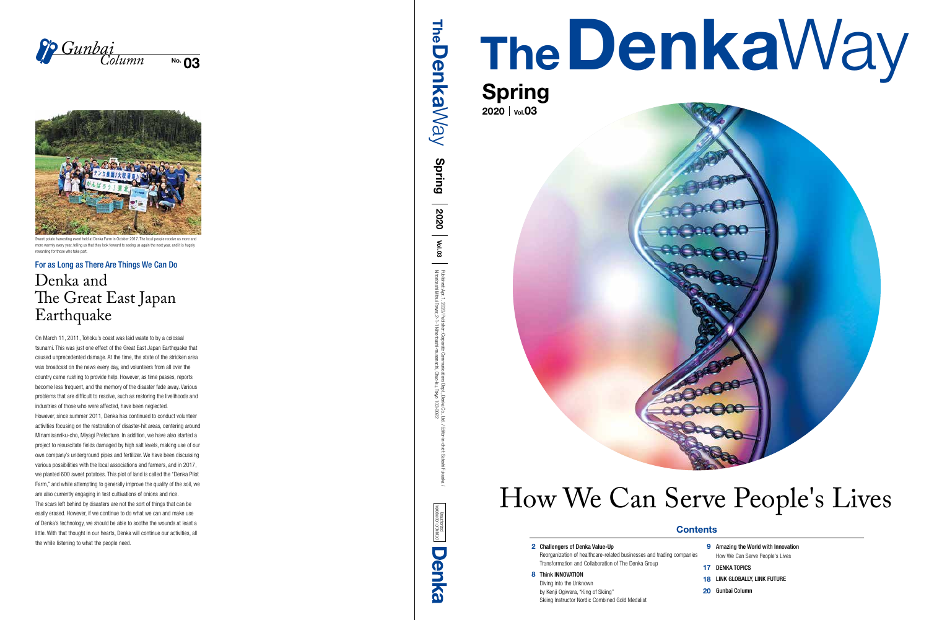# TheDenkaWay



## 2020 | vol.03



Reorganization of healthcare-related businesses and trading companies Transformation and Collaboration of The Denka Group

## 8 Think INNOVATION

- **9** Amazing the World with Innovation How We Can Serve People's Lives
- 17 DENKA TOPICS
- 18 LINK GLOBALLY, LINK FUTURE
- 20 Gunbai Column

Diving into the Unknown by Kenji Ogiwara, "King of Skiing" Skiing Instructor Nordic Combined Gold Medalist



 $\overline{N}$  03 *Gunbai Column*



sting event held at Denka Farm in October 2017. The local people receive us more an more warmly every year, telling us that they look forward to seeing us again the next year, and it is hugely rewarding for those who take part

# How We Can Serve People's Lives

## **Contents**

## 2<br>8 2 Challengers of Denka Value-Up



## Denka and The Great East Japan Earthquake

On March 11, 2011, Tohoku's coast was laid waste to by a colossal tsunami. This was just one effect of the Great East Japan Earthquake that caused unprecedented damage. At the time, the state of the stricken area was broadcast on the news every day, and volunteers from all over the country came rushing to provide help. However, as time passes, reports become less frequent, and the memory of the disaster fade away. Various problems that are difficult to resolve, such as restoring the livelihoods and industries of those who were affected, have been neglected. However, since summer 2011, Denka has continued to conduct volunteer activities focusing on the restoration of disaster-hit areas, centering around Minamisanriku-cho, Miyagi Prefecture. In addition, we have also started a project to resuscitate fields damaged by high salt levels, making use of our own company's underground pipes and fertilizer. We have been discussing various possibilities with the local associations and farmers, and in 2017, we planted 600 sweet potatoes. This plot of land is called the "Denka Pilot Farm," and while attempting to generally improve the quality of the soil, we are also currently engaging in test cultivations of onions and rice. The scars left behind by disasters are not the sort of things that can be easily erased. However, if we continue to do what we can and make use of Denka's technology, we should be able to soothe the wounds at least a little. With that thought in our hearts, Denka will continue our activities, all the while listening to what the people need.

The **Denka**Way **The DenkaWay** Spring 2020 Vol.03 Published<br>Nihonbash Nihonbashi Mitsui Tower, 2-1-1 Nihonbashi-muromachi, Chuo-ku, Tokyo 103-0022 Published: Apr. 1, 2020/ Publisher: Corporate Communications Dept., Denka Co., Ltd. / Editor-in-chief: Satoshi Fukuoka / Apr. 1,<br>Mitsu 2020<br>Towe

## For as Long as There Are Things We Can Do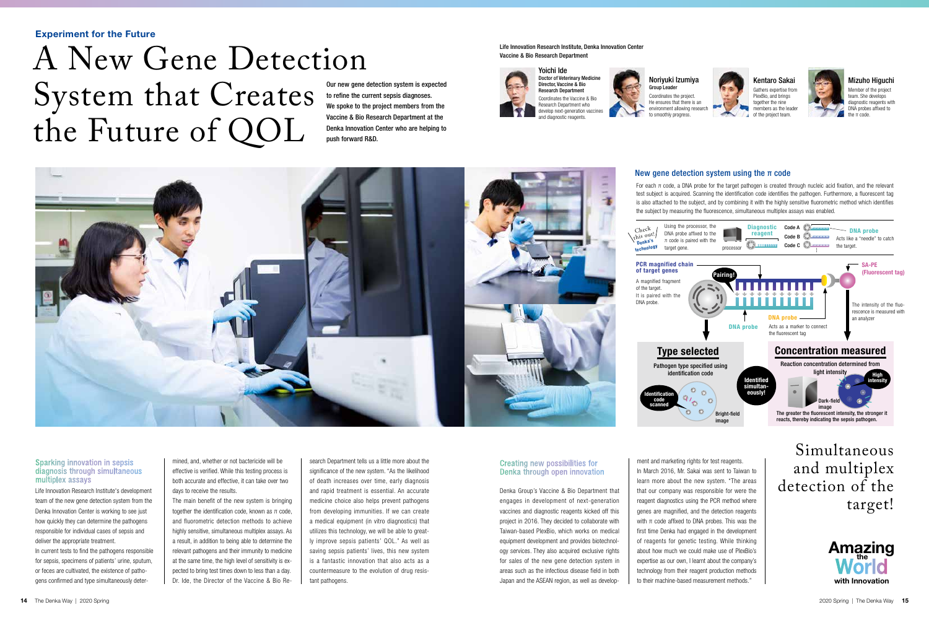Life Innovation Research Institute's development team of the new gene detection system from the Denka Innovation Center is working to see just how quickly they can determine the pathogens responsible for individual cases of sepsis and deliver the appropriate treatment. In current tests to find the pathogens responsible for sepsis, specimens of patients' urine, sputum, or feces are cultivated, the existence of pathogens confirmed and type simultaneously determined, and, whether or not bactericide will be effective is verified. While this testing process is both accurate and effective, it can take over two days to receive the results.

The main benefit of the new system is bringing together the identification code, known as π code, and fluorometric detection methods to achieve highly sensitive, simultaneous multiplex assays. As a result, in addition to being able to determine the relevant pathogens and their immunity to medicine at the same time, the high level of sensitivity is expected to bring test times down to less than a day. Dr. Ide, the Director of the Vaccine & Bio Re-

search Department tells us a little more about the significance of the new system. "As the likelihood of death increases over time, early diagnosis and rapid treatment is essential. An accurate medicine choice also helps prevent pathogens from developing immunities. If we can create a medical equipment (in vitro diagnostics) that utilizes this technology, we will be able to greatly improve sepsis patients' QOL." As well as saving sepsis patients' lives, this new system is a fantastic innovation that also acts as a countermeasure to the evolution of drug resistant pathogens.

Denka Group's Vaccine & Bio Department that engages in development of next-generation vaccines and diagnostic reagents kicked off this project in 2016. They decided to collaborate with Taiwan-based PlexBio, which works on medical equipment development and provides biotechnology services. They also acquired exclusive rights for sales of the new gene detection system in areas such as the infectious disease field in both Japan and the ASEAN region, as well as develop-



ment and marketing rights for test reagents. In March 2016, Mr. Sakai was sent to Taiwan to learn more about the new system. "The areas that our company was responsible for were the reagent diagnostics using the PCR method where genes are magnified, and the detection reagents with  $π$  code affixed to DNA probes. This was the first time Denka had engaged in the development of reagents for genetic testing. While thinking about how much we could make use of PlexBio's expertise as our own, I learnt about the company's technology from their reagent production methods to their machine-based measurement methods."

## Experiment for the Future

Our new gene detection system is expected to refine the current sepsis diagnoses. We spoke to the project members from the Vaccine & Bio Research Department at the Denka Innovation Center who are helping to

# push forward R&D. Life Innovation Research Institute, Denka Innovation Center System that Creates the Future of QOL



Noriyuki Izumiya Group Leader Coordinates the project.

> He ensures that there is an environment allowing research to smoothly progress.

## New gene detection system using the  $\pi$  code

Kentaro Sakai Gathers expertise from PlexBio, and brings together the nine members as the leader





## Mizuho Higuchi

Member of the project team. She develops diagnostic reagents with DNA probes affixed to the π code.

### Sparking innovation in sepsis diagnosis through simultaneous multiplex assays

#### Creating new possibilities for Denka through open innovation

For each π code, a DNA probe for the target pathogen is created through nucleic acid fixation, and the relevant test subject is acquired. Scanning the identification code identifies the pathogen. Furthermore, a fluorescent tag is also attached to the subject, and by combining it with the highly sensitive fluorometric method which identifies the subject by measuring the fluorescence, simultaneous multiplex assays was enabled.

## Simultaneous and multiplex detection of the target!

of the target. DNA probe.

Check this out! nenka's technology target gene.

## of target genes

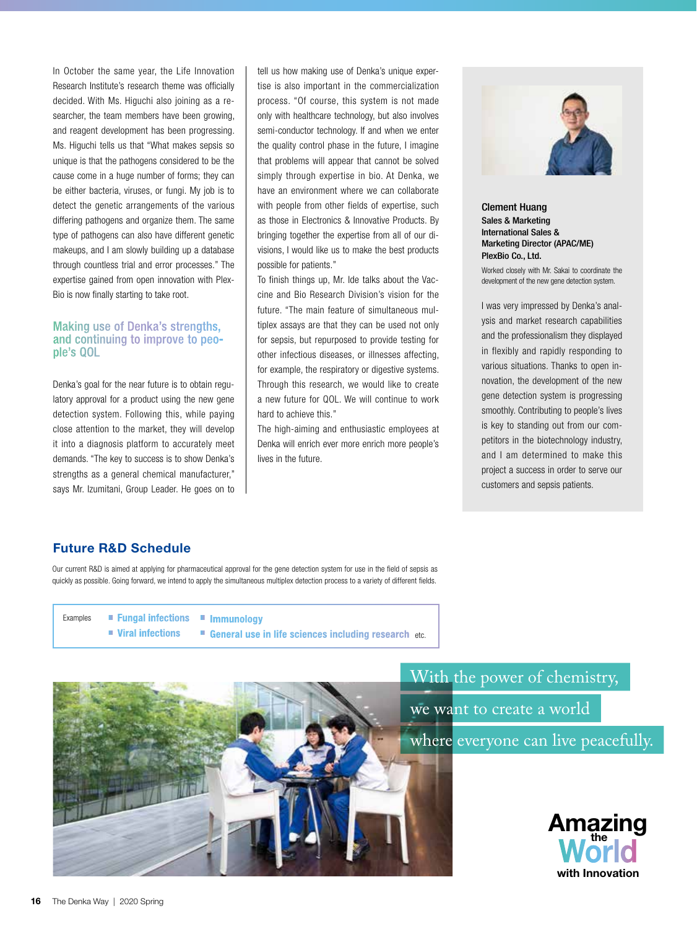In October the same year, the Life Innovation Research Institute's research theme was officially decided. With Ms. Higuchi also joining as a researcher, the team members have been growing, and reagent development has been progressing. Ms. Higuchi tells us that "What makes sepsis so unique is that the pathogens considered to be the cause come in a huge number of forms; they can be either bacteria, viruses, or fungi. My job is to detect the genetic arrangements of the various differing pathogens and organize them. The same type of pathogens can also have different genetic makeups, and I am slowly building up a database through countless trial and error processes." The expertise gained from open innovation with Plex-Bio is now finally starting to take root.

### Making use of Denka's strengths, and continuing to improve to people's QOL

Denka's goal for the near future is to obtain regulatory approval for a product using the new gene detection system. Following this, while paying close attention to the market, they will develop it into a diagnosis platform to accurately meet demands. "The key to success is to show Denka's strengths as a general chemical manufacturer," says Mr. Izumitani, Group Leader. He goes on to tell us how making use of Denka's unique expertise is also important in the commercialization process. "Of course, this system is not made only with healthcare technology, but also involves semi-conductor technology. If and when we enter the quality control phase in the future, I imagine that problems will appear that cannot be solved simply through expertise in bio. At Denka, we have an environment where we can collaborate with people from other fields of expertise, such as those in Electronics & Innovative Products. By bringing together the expertise from all of our divisions, I would like us to make the best products possible for patients."

To finish things up, Mr. Ide talks about the Vaccine and Bio Research Division's vision for the future. "The main feature of simultaneous multiplex assays are that they can be used not only for sepsis, but repurposed to provide testing for other infectious diseases, or illnesses affecting, for example, the respiratory or digestive systems. Through this research, we would like to create a new future for QOL. We will continue to work hard to achieve this."

The high-aiming and enthusiastic employees at Denka will enrich ever more enrich more people's lives in the future.



Clement Huang Sales & Marketing International Sales & Marketing Director (APAC/ME) PlexBio Co., Ltd.

Worked closely with Mr. Sakai to coordinate the development of the new gene detection system.

I was very impressed by Denka's analysis and market research capabilities and the professionalism they displayed in flexibly and rapidly responding to various situations. Thanks to open innovation, the development of the new gene detection system is progressing smoothly. Contributing to people's lives is key to standing out from our competitors in the biotechnology industry, and I am determined to make this project a success in order to serve our customers and sepsis patients.

## Future R&D Schedule

Our current R&D is aimed at applying for pharmaceutical approval for the gene detection system for use in the field of sepsis as quickly as possible. Going forward, we intend to apply the simultaneous multiplex detection process to a variety of different fields.

Examples **Examples** Fungal infections **Full Examples** ■ Viral infections General use in life sciences including research etc.



With the power of chemistry, we want to create a world where everyone can live peacefully.